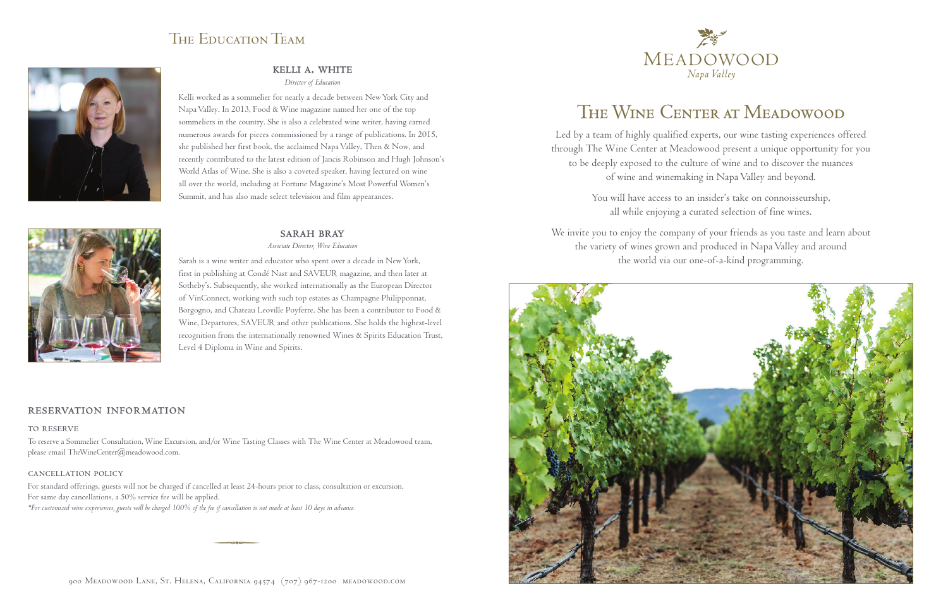# The Wine Center at Meadowood

Led by a team of highly qualified experts, our wine tasting experiences offered through The Wine Center at Meadowood present a unique opportunity for you to be deeply exposed to the culture of wine and to discover the nuances of wine and winemaking in Napa Valley and beyond.

> You will have access to an insider's take on connoisseurship, all while enjoying a curated selection of fine wines.

We invite you to enjoy the company of your friends as you taste and learn about the variety of wines grown and produced in Napa Valley and around the world via our one-of-a-kind programming.





### The Education Team



#### kelli a. white

*Director of Education*

Kelli worked as a sommelier for nearly a decade between New York City and Napa Valley. In 2013, Food & Wine magazine named her one of the top sommeliers in the country. She is also a celebrated wine writer, having earned numerous awards for pieces commissioned by a range of publications. In 2015, she published her first book, the acclaimed Napa Valley, Then & Now, and recently contributed to the latest edition of Jancis Robinson and Hugh Johnson's World Atlas of Wine. She is also a coveted speaker, having lectured on wine all over the world, including at Fortune Magazine's Most Powerful Women's Summit, and has also made select television and film appearances.

#### **SARAH BRAY**

*Associate Director, Wine Education*



Sarah is a wine writer and educator who spent over a decade in New York, first in publishing at Condé Nast and SAVEUR magazine, and then later at Sotheby's. Subsequently, she worked internationally as the European Director of VinConnect, working with such top estates as Champagne Philipponnat, Borgogno, and Chateau Leoville Poyferre. She has been a contributor to Food & Wine, Departures, SAVEUR and other publications. She holds the highest-level recognition from the internationally renowned Wines & Spirits Education Trust, Level 4 Diploma in Wine and Spirits.

#### reservation information

#### TO RESERVE

To reserve a Sommelier Consultation, Wine Excursion, and/or Wine Tasting Classes with The Wine Center at Meadowood team, please email TheWineCenter@meadowood.com.

#### cancellation policy

For standard offerings, guests will not be charged if cancelled at least 24-hours prior to class, consultation or excursion. For same day cancellations, a 50% service fee will be applied. *\*For customized wine experiences, guests will be charged 100% of the fee if cancellation is not made at least 10 days in advance.*